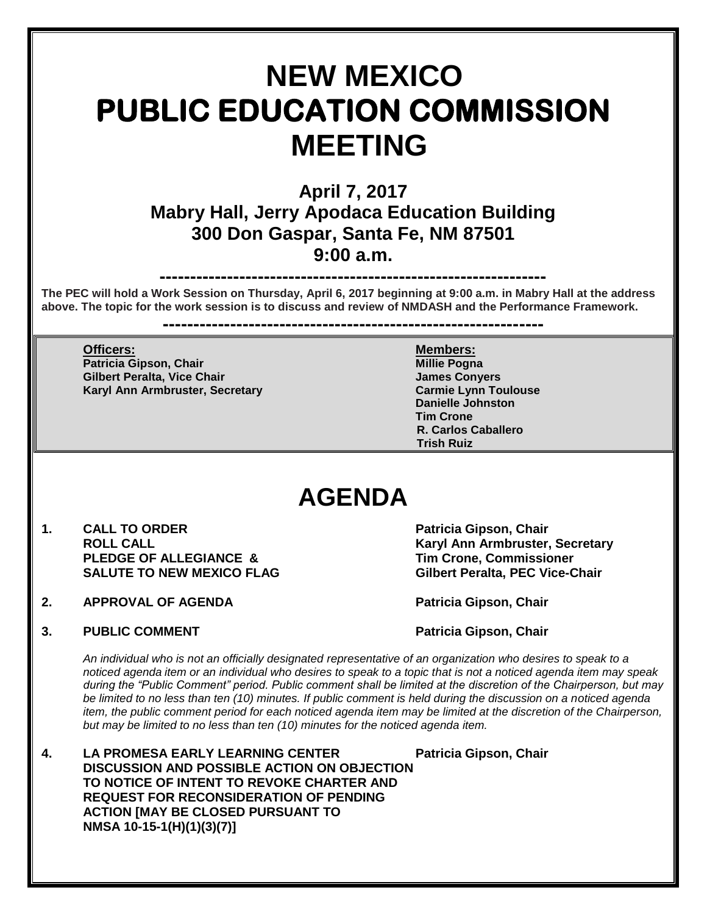# **NEW MEXICO PUBLIC EDUCATION COMMISSION MEETING**

## **April 7, 2017 Mabry Hall, Jerry Apodaca Education Building 300 Don Gaspar, Santa Fe, NM 87501 9:00 a.m.**

**---------------------------------------------------------------**

**The PEC will hold a Work Session on Thursday, April 6, 2017 beginning at 9:00 a.m. in Mabry Hall at the address above. The topic for the work session is to discuss and review of NMDASH and the Performance Framework.**

**--------------------------------------------------------------**

### **Officers: Members: Patricia Gipson, Chair Millie Pogna Gilbert Peralta, Vice Chair James Conversion Conversion Conversion Conversion Conversion Conversion Conversion**

**Karyl Ann Armbruster, Secretary Carmie Lynn Toulouse Danielle Johnston Tim Crone R. Carlos Caballero Trish Ruiz**

## **AGENDA**

- 1. **CALL TO ORDER Patricia Gipson, Chair ROLL CALL Karyl Ann Armbruster, Secretary**  PLEDGE OF ALLEGIANCE & Tim Crone, Commissioner<br>
SALUTE TO NEW MEXICO FLAG Gilbert Peralta. PEC Vice-C
- **2. APPROVAL OF AGENDA Patricia Gipson, Chair**

**Gilbert Peralta, PEC Vice-Chair** 

**3. PUBLIC COMMENT Patricia Gipson, Chair** Patricia Gipson, Chair

*An individual who is not an officially designated representative of an organization who desires to speak to a noticed agenda item or an individual who desires to speak to a topic that is not a noticed agenda item may speak during the "Public Comment" period. Public comment shall be limited at the discretion of the Chairperson, but may*  be limited to no less than ten (10) minutes. If public comment is held during the discussion on a noticed agenda *item, the public comment period for each noticed agenda item may be limited at the discretion of the Chairperson, but may be limited to no less than ten (10) minutes for the noticed agenda item.*

**4. LA PROMESA EARLY LEARNING CENTER Patricia Gipson, Chair DISCUSSION AND POSSIBLE ACTION ON OBJECTION TO NOTICE OF INTENT TO REVOKE CHARTER AND REQUEST FOR RECONSIDERATION OF PENDING ACTION [MAY BE CLOSED PURSUANT TO NMSA 10-15-1(H)(1)(3)(7)]**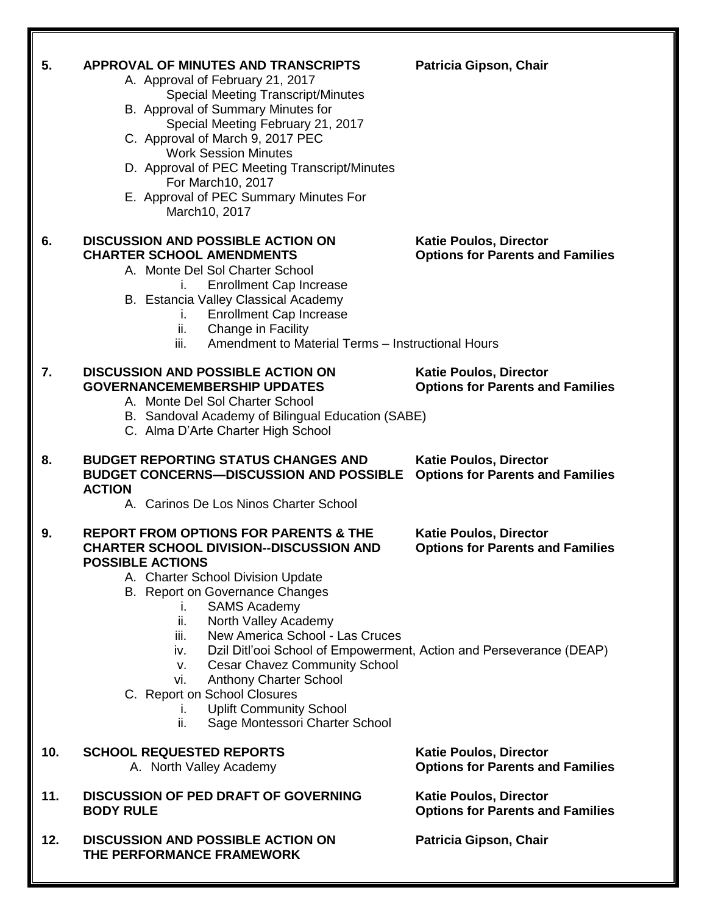| 5.  | APPROVAL OF MINUTES AND TRANSCRIPTS<br>A. Approval of February 21, 2017<br><b>Special Meeting Transcript/Minutes</b><br>B. Approval of Summary Minutes for<br>Special Meeting February 21, 2017<br>C. Approval of March 9, 2017 PEC<br><b>Work Session Minutes</b><br>D. Approval of PEC Meeting Transcript/Minutes<br>For March10, 2017<br>E. Approval of PEC Summary Minutes For<br>March10, 2017                                                                                                                                                                                                        | Patricia Gipson, Chair                                                   |
|-----|------------------------------------------------------------------------------------------------------------------------------------------------------------------------------------------------------------------------------------------------------------------------------------------------------------------------------------------------------------------------------------------------------------------------------------------------------------------------------------------------------------------------------------------------------------------------------------------------------------|--------------------------------------------------------------------------|
| 6.  | <b>DISCUSSION AND POSSIBLE ACTION ON</b><br><b>CHARTER SCHOOL AMENDMENTS</b><br>A. Monte Del Sol Charter School<br><b>Enrollment Cap Increase</b><br>L.<br>B. Estancia Valley Classical Academy<br><b>Enrollment Cap Increase</b><br>L.<br>Change in Facility<br>ii.<br>Amendment to Material Terms - Instructional Hours<br>iii.                                                                                                                                                                                                                                                                          | <b>Katie Poulos, Director</b><br><b>Options for Parents and Families</b> |
| 7.  | <b>DISCUSSION AND POSSIBLE ACTION ON</b><br><b>GOVERNANCEMEMBERSHIP UPDATES</b><br>A. Monte Del Sol Charter School<br>B. Sandoval Academy of Bilingual Education (SABE)<br>C. Alma D'Arte Charter High School                                                                                                                                                                                                                                                                                                                                                                                              | <b>Katie Poulos, Director</b><br><b>Options for Parents and Families</b> |
| 8.  | <b>BUDGET REPORTING STATUS CHANGES AND</b><br><b>BUDGET CONCERNS-DISCUSSION AND POSSIBLE</b><br><b>ACTION</b><br>A. Carinos De Los Ninos Charter School                                                                                                                                                                                                                                                                                                                                                                                                                                                    | <b>Katie Poulos, Director</b><br><b>Options for Parents and Families</b> |
| 9.  | <b>REPORT FROM OPTIONS FOR PARENTS &amp; THE</b><br><b>CHARTER SCHOOL DIVISION--DISCUSSION AND</b><br><b>POSSIBLE ACTIONS</b><br>A. Charter School Division Update<br>B. Report on Governance Changes<br><b>SAMS Academy</b><br>i.<br>ii.<br>North Valley Academy<br>New America School - Las Cruces<br>iii.<br>Dzil Ditl'ooi School of Empowerment, Action and Perseverance (DEAP)<br>iv.<br><b>Cesar Chavez Community School</b><br>$V_{\star}$<br><b>Anthony Charter School</b><br>vi.<br>C. Report on School Closures<br><b>Uplift Community School</b><br>i.<br>ii.<br>Sage Montessori Charter School | <b>Katie Poulos, Director</b><br><b>Options for Parents and Families</b> |
| 10. | <b>SCHOOL REQUESTED REPORTS</b><br>A. North Valley Academy                                                                                                                                                                                                                                                                                                                                                                                                                                                                                                                                                 | <b>Katie Poulos, Director</b><br><b>Options for Parents and Families</b> |
| 11. | <b>DISCUSSION OF PED DRAFT OF GOVERNING</b><br><b>BODY RULE</b>                                                                                                                                                                                                                                                                                                                                                                                                                                                                                                                                            | <b>Katie Poulos, Director</b><br><b>Options for Parents and Families</b> |
| 12. | <b>DISCUSSION AND POSSIBLE ACTION ON</b><br>THE PERFORMANCE FRAMEWORK                                                                                                                                                                                                                                                                                                                                                                                                                                                                                                                                      | Patricia Gipson, Chair                                                   |